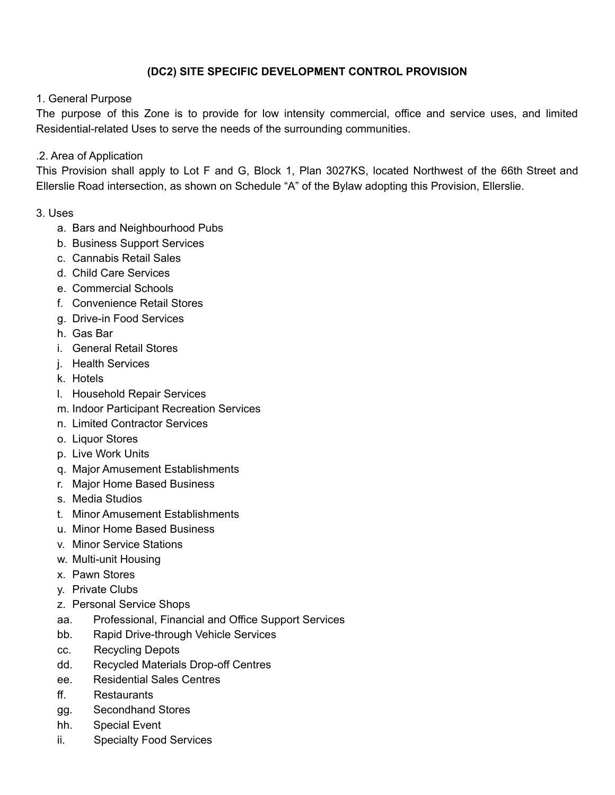## **(DC2) SITE SPECIFIC DEVELOPMENT CONTROL PROVISION**

## 1. General Purpose

The purpose of this Zone is to provide for low intensity commercial, office and service uses, and limited Residential-related Uses to serve the needs of the surrounding communities.

## .2. Area of Application

This Provision shall apply to Lot F and G, Block 1, Plan 3027KS, located Northwest of the 66th Street and Ellerslie Road intersection, as shown on Schedule "A" of the Bylaw adopting this Provision, Ellerslie.

## 3. Uses

- a. Bars and Neighbourhood Pubs
- b. Business Support Services
- c. Cannabis Retail Sales
- d. Child Care Services
- e. Commercial Schools
- f. Convenience Retail Stores
- g. Drive-in Food Services
- h. Gas Bar
- i. General Retail Stores
- j. Health Services
- k. Hotels
- l. Household Repair Services
- m. Indoor Participant Recreation Services
- n. Limited Contractor Services
- o. Liquor Stores
- p. Live Work Units
- q. Major Amusement Establishments
- r. Major Home Based Business
- s. Media Studios
- t. Minor Amusement Establishments
- u. Minor Home Based Business
- v. Minor Service Stations
- w. Multi-unit Housing
- x. Pawn Stores
- y. Private Clubs
- z. Personal Service Shops
- aa. Professional, Financial and Office Support Services
- bb. Rapid Drive-through Vehicle Services
- cc. Recycling Depots
- dd. Recycled Materials Drop-off Centres
- ee. Residential Sales Centres
- ff. Restaurants
- gg. Secondhand Stores
- hh. Special Event
- ii. Specialty Food Services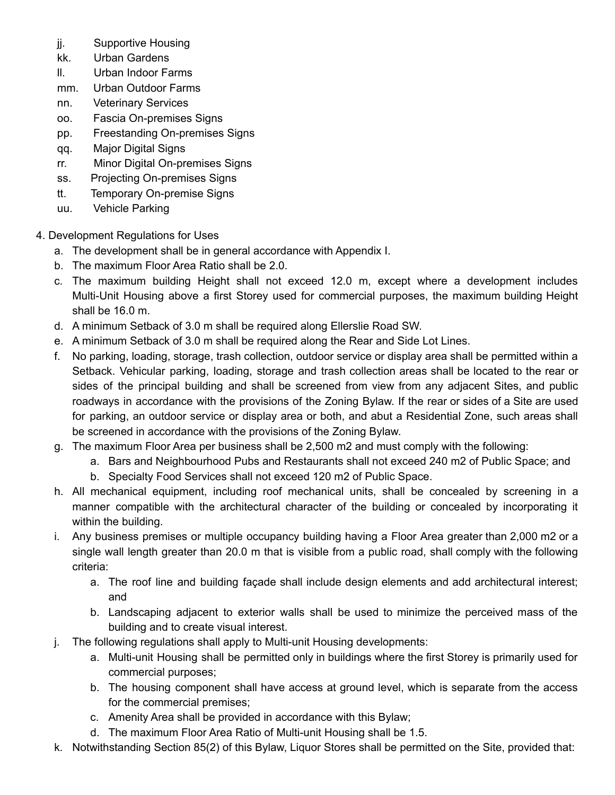- jj. Supportive Housing
- kk. Urban Gardens
- ll. Urban Indoor Farms
- mm. Urban Outdoor Farms
- nn. Veterinary Services
- oo. Fascia On-premises Signs
- pp. Freestanding On-premises Signs
- qq. Major Digital Signs
- rr. Minor Digital On-premises Signs
- ss. Projecting On-premises Signs
- tt. Temporary On-premise Signs
- uu. Vehicle Parking
- 4. Development Regulations for Uses
	- a. The development shall be in general accordance with Appendix I.
	- b. The maximum Floor Area Ratio shall be 2.0.
	- c. The maximum building Height shall not exceed 12.0 m, except where a development includes Multi-Unit Housing above a first Storey used for commercial purposes, the maximum building Height shall be 16.0 m.
	- d. A minimum Setback of 3.0 m shall be required along Ellerslie Road SW.
	- e. A minimum Setback of 3.0 m shall be required along the Rear and Side Lot Lines.
	- f. No parking, loading, storage, trash collection, outdoor service or display area shall be permitted within a Setback. Vehicular parking, loading, storage and trash collection areas shall be located to the rear or sides of the principal building and shall be screened from view from any adjacent Sites, and public roadways in accordance with the provisions of the Zoning Bylaw. If the rear or sides of a Site are used for parking, an outdoor service or display area or both, and abut a Residential Zone, such areas shall be screened in accordance with the provisions of the Zoning Bylaw.
	- g. The maximum Floor Area per business shall be 2,500 m2 and must comply with the following:
		- a. Bars and Neighbourhood Pubs and Restaurants shall not exceed 240 m2 of Public Space; and
		- b. Specialty Food Services shall not exceed 120 m2 of Public Space.
	- h. All mechanical equipment, including roof mechanical units, shall be concealed by screening in a manner compatible with the architectural character of the building or concealed by incorporating it within the building.
	- i. Any business premises or multiple occupancy building having a Floor Area greater than 2,000 m2 or a single wall length greater than 20.0 m that is visible from a public road, shall comply with the following criteria:
		- a. The roof line and building façade shall include design elements and add architectural interest; and
		- b. Landscaping adjacent to exterior walls shall be used to minimize the perceived mass of the building and to create visual interest.
	- j. The following regulations shall apply to Multi-unit Housing developments:
		- a. Multi-unit Housing shall be permitted only in buildings where the first Storey is primarily used for commercial purposes;
		- b. The housing component shall have access at ground level, which is separate from the access for the commercial premises;
		- c. Amenity Area shall be provided in accordance with this Bylaw;
		- d. The maximum Floor Area Ratio of Multi-unit Housing shall be 1.5.
	- k. Notwithstanding Section 85(2) of this Bylaw, Liquor Stores shall be permitted on the Site, provided that: